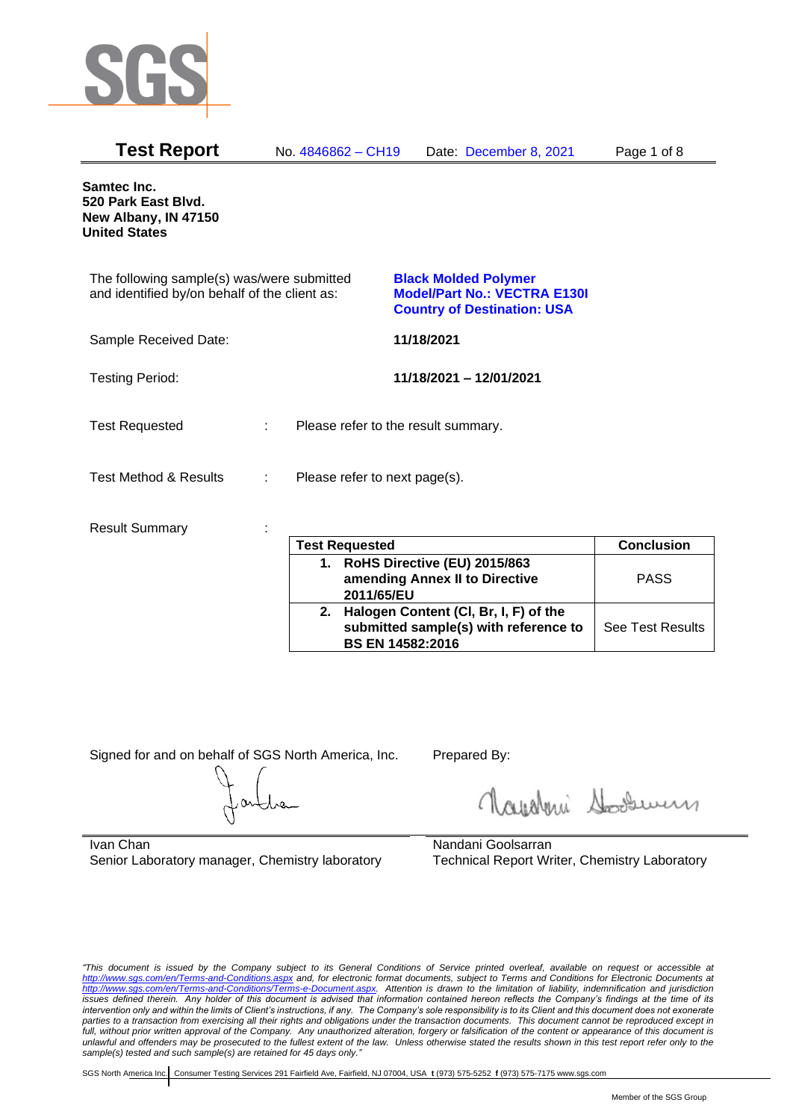

| <b>Test Report</b>                                                                          | No. 4846862 - CH19            | Date: December 8, 2021                                                                                   | Page 1 of 8 |
|---------------------------------------------------------------------------------------------|-------------------------------|----------------------------------------------------------------------------------------------------------|-------------|
| Samtec Inc.<br>520 Park East Blvd.<br>New Albany, IN 47150<br><b>United States</b>          |                               |                                                                                                          |             |
| The following sample(s) was/were submitted<br>and identified by/on behalf of the client as: |                               | <b>Black Molded Polymer</b><br><b>Model/Part No.: VECTRA E130I</b><br><b>Country of Destination: USA</b> |             |
| Sample Received Date:                                                                       |                               | 11/18/2021                                                                                               |             |
| <b>Testing Period:</b>                                                                      |                               | 11/18/2021 - 12/01/2021                                                                                  |             |
| <b>Test Requested</b>                                                                       |                               | Please refer to the result summary.                                                                      |             |
| <b>Test Method &amp; Results</b>                                                            | Please refer to next page(s). |                                                                                                          |             |
| <b>Result Summary</b>                                                                       |                               |                                                                                                          |             |

| <b>Test Requested</b>                                                                                        | <b>Conclusion</b>       |
|--------------------------------------------------------------------------------------------------------------|-------------------------|
| 1. RoHS Directive (EU) 2015/863<br>amending Annex II to Directive<br>2011/65/EU                              | <b>PASS</b>             |
| 2. Halogen Content (CI, Br, I, F) of the<br>submitted sample(s) with reference to<br><b>BS EN 14582:2016</b> | <b>See Test Results</b> |

Signed for and on behalf of SGS North America, Inc. Prepared By:

Royalmi Souri

Ivan Chan Senior Laboratory manager, Chemistry laboratory

Nandani Goolsarran Technical Report Writer, Chemistry Laboratory

*"This document is issued by the Company subject to its General Conditions of Service printed overleaf, available on request or accessible at <http://www.sgs.com/en/Terms-and-Conditions.aspx> and, for electronic format documents, subject to Terms and Conditions for Electronic Documents at [http://www.sgs.com/en/Terms-and-Conditions/Terms-e-Document.aspx.](http://www.sgs.com/en/Terms-and-Conditions/Terms-e-Document.aspx) Attention is drawn to the limitation of liability, indemnification and jurisdiction issues defined therein. Any holder of this document is advised that information contained hereon reflects the Company's findings at the time of its intervention only and within the limits of Client's instructions, if any. The Company's sole responsibility is to its Client and this document does not exonerate parties to a transaction from exercising all their rights and obligations under the transaction documents. This document cannot be reproduced except in full, without prior written approval of the Company. Any unauthorized alteration, forgery or falsification of the content or appearance of this document is unlawful and offenders may be prosecuted to the fullest extent of the law. Unless otherwise stated the results shown in this test report refer only to the sample(s) tested and such sample(s) are retained for 45 days only."*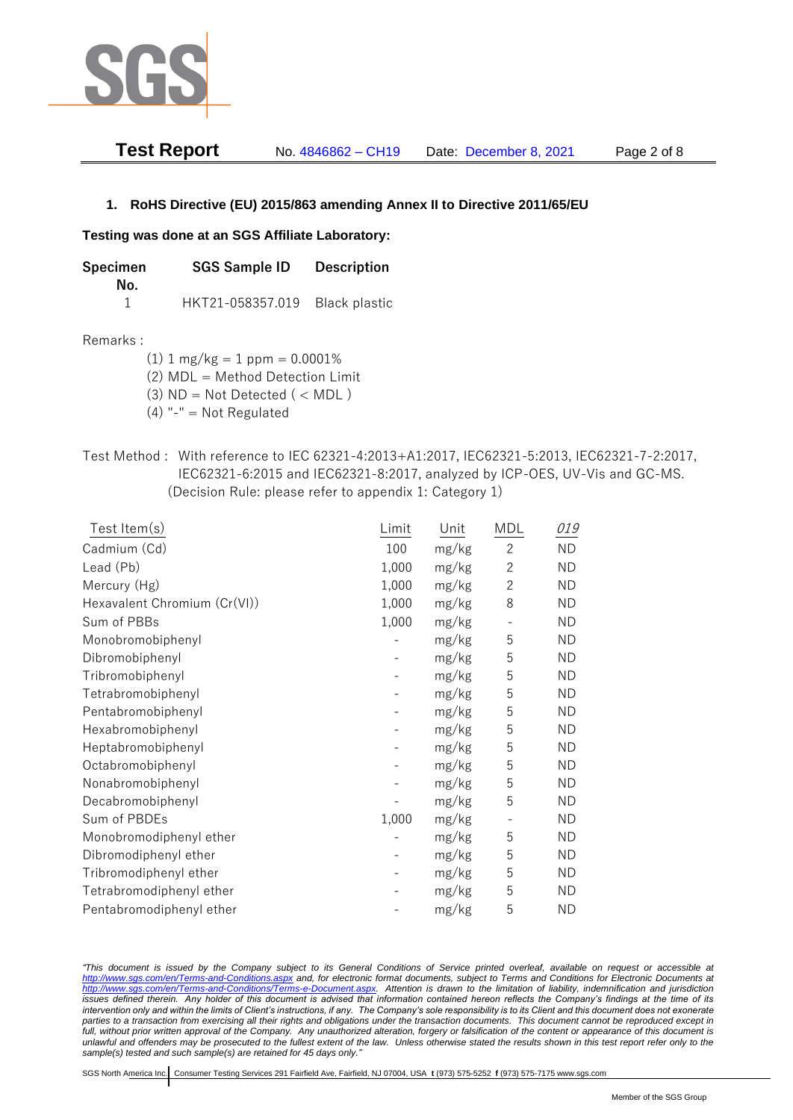

| <b>Test Report</b> | No. 4846862 – CH19 | Date: December 8, 2021 | Page 2 of 8 |
|--------------------|--------------------|------------------------|-------------|
|--------------------|--------------------|------------------------|-------------|

#### **1. RoHS Directive (EU) 2015/863 amending Annex II to Directive 2011/65/EU**

#### **Testing was done at an SGS Affiliate Laboratory:**

| <b>SGS Sample ID</b><br>Specimen<br>No. |                  | <b>Description</b>   |  |
|-----------------------------------------|------------------|----------------------|--|
|                                         | HKT21-058357.019 | <b>Black plastic</b> |  |

#### Remarks :

(1)  $1 \text{ mg/kg} = 1 \text{ ppm} = 0.0001\%$ 

(2) MDL = Method Detection Limit

- (3)  $ND = Not detected$  ( < MDL)
- (4) "-" = Not Regulated
- Test Method : With reference to IEC 62321-4:2013+A1:2017, IEC62321-5:2013, IEC62321-7-2:2017, IEC62321-6:2015 and IEC62321-8:2017, analyzed by ICP-OES, UV-Vis and GC-MS. (Decision Rule: please refer to appendix 1: Category 1)

| Test Item $(s)$              | Limit | Unit  | MDL                      | 019       |
|------------------------------|-------|-------|--------------------------|-----------|
| Cadmium (Cd)                 | 100   | mg/kg | $\mathbf{2}$             | <b>ND</b> |
| Lead (Pb)                    | 1,000 | mg/kg | $\mathbf{2}$             | <b>ND</b> |
| Mercury (Hg)                 | 1,000 | mg/kg | $\overline{c}$           | <b>ND</b> |
| Hexavalent Chromium (Cr(VI)) | 1,000 | mg/kg | 8                        | <b>ND</b> |
| Sum of PBBs                  | 1,000 | mg/kg | $\overline{\phantom{a}}$ | <b>ND</b> |
| Monobromobiphenyl            |       | mg/kg | 5                        | <b>ND</b> |
| Dibromobiphenyl              |       | mg/kg | 5                        | <b>ND</b> |
| Tribromobiphenyl             |       | mg/kg | 5                        | <b>ND</b> |
| Tetrabromobiphenyl           |       | mg/kg | 5                        | <b>ND</b> |
| Pentabromobiphenyl           |       | mg/kg | 5                        | <b>ND</b> |
| Hexabromobiphenyl            |       | mg/kg | 5                        | <b>ND</b> |
| Heptabromobiphenyl           |       | mg/kg | 5                        | <b>ND</b> |
| Octabromobiphenyl            |       | mg/kg | 5                        | <b>ND</b> |
| Nonabromobiphenyl            |       | mg/kg | 5                        | <b>ND</b> |
| Decabromobiphenyl            |       | mg/kg | 5                        | <b>ND</b> |
| Sum of PBDEs                 | 1,000 | mg/kg |                          | <b>ND</b> |
| Monobromodiphenyl ether      |       | mg/kg | 5                        | <b>ND</b> |
| Dibromodiphenyl ether        |       | mg/kg | 5                        | <b>ND</b> |
| Tribromodiphenyl ether       |       | mg/kg | 5                        | <b>ND</b> |
| Tetrabromodiphenyl ether     |       | mg/kg | 5                        | <b>ND</b> |
| Pentabromodiphenyl ether     |       | mg/kg | 5                        | <b>ND</b> |

*"This document is issued by the Company subject to its General Conditions of Service printed overleaf, available on request or accessible at <http://www.sgs.com/en/Terms-and-Conditions.aspx> and, for electronic format documents, subject to Terms and Conditions for Electronic Documents at [http://www.sgs.com/en/Terms-and-Conditions/Terms-e-Document.aspx.](http://www.sgs.com/en/Terms-and-Conditions/Terms-e-Document.aspx) Attention is drawn to the limitation of liability, indemnification and jurisdiction issues defined therein. Any holder of this document is advised that information contained hereon reflects the Company's findings at the time of its intervention only and within the limits of Client's instructions, if any. The Company's sole responsibility is to its Client and this document does not exonerate*  parties to a transaction from exercising all their rights and obligations under the transaction documents. This document cannot be reproduced except in *full, without prior written approval of the Company. Any unauthorized alteration, forgery or falsification of the content or appearance of this document is unlawful and offenders may be prosecuted to the fullest extent of the law. Unless otherwise stated the results shown in this test report refer only to the sample(s) tested and such sample(s) are retained for 45 days only."*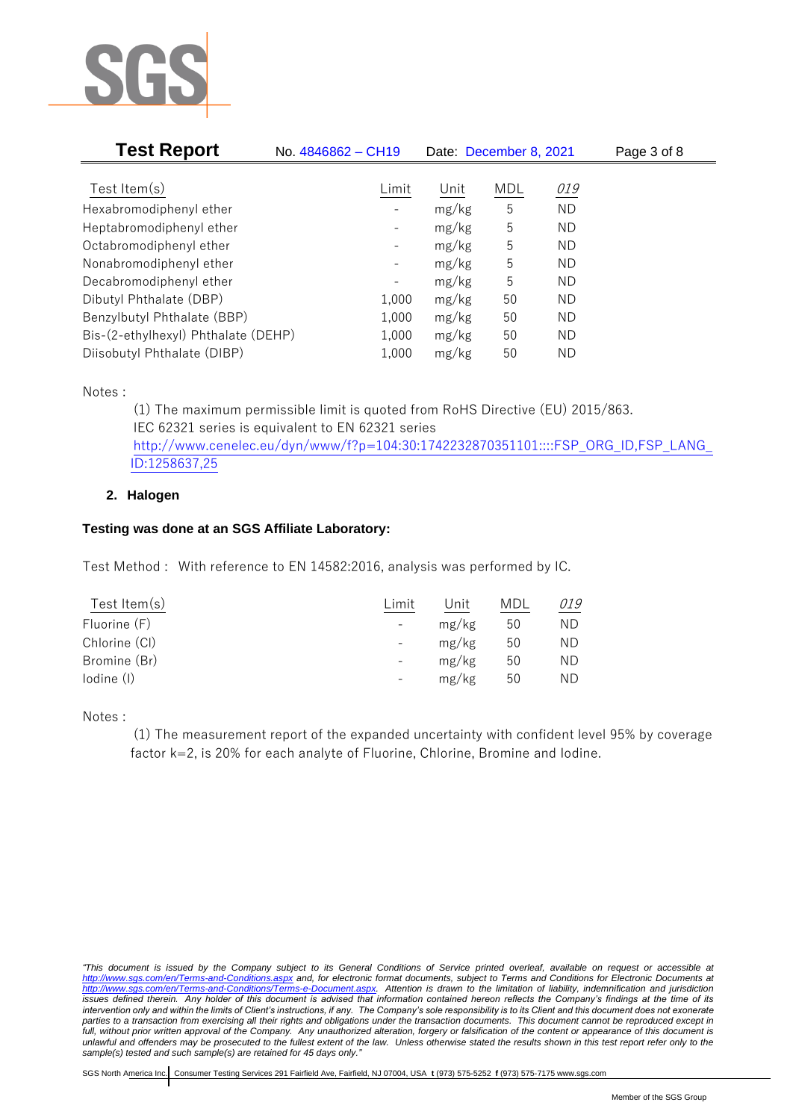

| <b>Test Report</b><br>No. 4846862 - CH19 |                              |       | Date: December 8, 2021 | Page 3 of 8 |  |
|------------------------------------------|------------------------------|-------|------------------------|-------------|--|
|                                          |                              |       |                        |             |  |
| Test Item $(s)$                          | Limit                        | Unit  | <b>MDL</b>             | 019         |  |
| Hexabromodiphenyl ether                  |                              | mg/kg | 5                      | <b>ND</b>   |  |
| Heptabromodiphenyl ether                 |                              | mg/kg | 5                      | ND          |  |
| Octabromodiphenyl ether                  | -                            | mg/kg | 5                      | ΝD          |  |
| Nonabromodiphenyl ether                  | -                            | mg/kg | 5                      | ΝD          |  |
| Decabromodiphenyl ether                  | $\qquad \qquad \blacksquare$ | mg/kg | 5                      | ΝD          |  |
| Dibutyl Phthalate (DBP)                  | 1,000                        | mg/kg | 50                     | ΝD          |  |
| Benzylbutyl Phthalate (BBP)              | 1,000                        | mg/kg | 50                     | ΝD          |  |
| Bis-(2-ethylhexyl) Phthalate (DEHP)      | 1,000                        | mg/kg | 50                     | ΝD          |  |
| Diisobutyl Phthalate (DIBP)              | 1,000                        | mg/kg | 50                     | ND          |  |

Notes :

(1) The maximum permissible limit is quoted from RoHS Directive (EU) 2015/863. IEC 62321 series is equivalent to EN 62321 series [http://www.cenelec.eu/dyn/www/f?p=104:30:1742232870351101::::FSP\\_ORG\\_ID,FSP\\_LANG\\_](http://www.cenelec.eu/dyn/www/f?p=104:30:1742232870351101::::FSP_ORG_ID,FSP_LANG_ID:1258637,25) [ID:1258637,25](http://www.cenelec.eu/dyn/www/f?p=104:30:1742232870351101::::FSP_ORG_ID,FSP_LANG_ID:1258637,25)

### **2. Halogen**

## **Testing was done at an SGS Affiliate Laboratory:**

Test Method : With reference to EN 14582:2016, analysis was performed by IC.

| Test Item $(s)$ | Limit                    | Unit  | MDL | 019 |
|-----------------|--------------------------|-------|-----|-----|
| Fluorine (F)    |                          | mg/kg | 50  | ΝD  |
| Chlorine (CI)   | $\overline{\phantom{a}}$ | mg/kg | 50  | ΝD  |
| Bromine (Br)    |                          | mg/kg | 50  | ΝD  |
| lodine (I)      |                          | mg/kg | 50  | ΝD  |
|                 |                          |       |     |     |

Notes :

(1) The measurement report of the expanded uncertainty with confident level 95% by coverage factor k=2, is 20% for each analyte of Fluorine, Chlorine, Bromine and Iodine.

*<sup>&</sup>quot;This document is issued by the Company subject to its General Conditions of Service printed overleaf, available on request or accessible at <http://www.sgs.com/en/Terms-and-Conditions.aspx> and, for electronic format documents, subject to Terms and Conditions for Electronic Documents at [http://www.sgs.com/en/Terms-and-Conditions/Terms-e-Document.aspx.](http://www.sgs.com/en/Terms-and-Conditions/Terms-e-Document.aspx) Attention is drawn to the limitation of liability, indemnification and jurisdiction issues defined therein. Any holder of this document is advised that information contained hereon reflects the Company's findings at the time of its intervention only and within the limits of Client's instructions, if any. The Company's sole responsibility is to its Client and this document does not exonerate*  parties to a transaction from exercising all their rights and obligations under the transaction documents. This document cannot be reproduced except in *full, without prior written approval of the Company. Any unauthorized alteration, forgery or falsification of the content or appearance of this document is unlawful and offenders may be prosecuted to the fullest extent of the law. Unless otherwise stated the results shown in this test report refer only to the sample(s) tested and such sample(s) are retained for 45 days only."*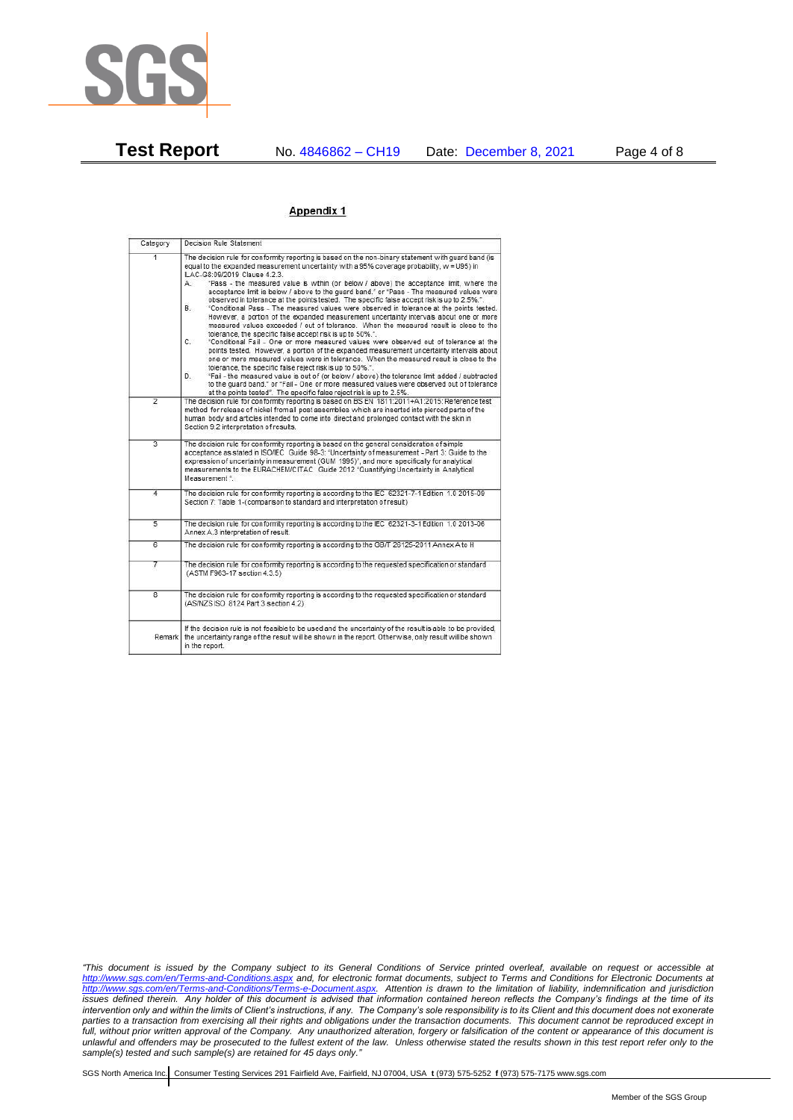

**Test Report** No. 4846862 – CH19 Date: December 8, 2021 Page 4 of 8

#### Appendix 1

| Category       | Decision Rule Statement                                                                                                                                                                                                                                                                                                                                                                                                                                                                                                                                                                                                                                                                                                                                                                                                                                                                                                                                                                                                                                                                                                                                                                                                                                                                                                                                                                                                                                                                                                    |  |
|----------------|----------------------------------------------------------------------------------------------------------------------------------------------------------------------------------------------------------------------------------------------------------------------------------------------------------------------------------------------------------------------------------------------------------------------------------------------------------------------------------------------------------------------------------------------------------------------------------------------------------------------------------------------------------------------------------------------------------------------------------------------------------------------------------------------------------------------------------------------------------------------------------------------------------------------------------------------------------------------------------------------------------------------------------------------------------------------------------------------------------------------------------------------------------------------------------------------------------------------------------------------------------------------------------------------------------------------------------------------------------------------------------------------------------------------------------------------------------------------------------------------------------------------------|--|
| 1              | The decision rule for conformity reporting is based on the non-binary statement with quard band (is<br>equal to the expanded measurement uncertainty with a 95% coverage probability, w = U95) in<br>ILAC-G8:09/2019 Clause 4.2.3.<br>"Pass - the measured value is within (or below / above) the acceptance limit, where the<br>А.<br>acceptance limit is below / above to the quard band." or "Pass - The measured values were<br>observed in tolerance at the points tested. The specific false accept risk is up to 2.5%.".<br><b>B</b> .<br>"Conditional Pass - The measured values were observed in tolerance at the points tested.<br>However, a portion of the expanded measurement uncertainty intervals about one or more<br>measured values exceeded / out of tolerance. When the measured result is close to the<br>tolerance, the specific false accept risk is up to 50%.".<br>C.<br>"Conditional Fail - One or more measured values were observed out of tolerance at the<br>points tested. However, a portion of the expanded measurement uncertainty intervals about<br>one or more measured values were in tolerance. When the measured result is close to the<br>tolerance, the specific false reject risk is up to 50%.".<br>"Fail - the measured value is out of (or below / above) the tolerance limit added / subtracted<br>D.<br>to the quard band." or "Fail - One or more measured values were observed out of tolerance<br>at the points tested". The specific false reject risk is up to 2.5%. |  |
| $\overline{2}$ | The decision rule for conformity reporting is based on BS EN 1811:2011+A1:2015: Reference test<br>method for release of nickel from all post assemblies which are inserted into pierced parts of the<br>human body and articles intended to come into direct and prolonged contact with the skin in<br>Section 9.2 interpretation of results.                                                                                                                                                                                                                                                                                                                                                                                                                                                                                                                                                                                                                                                                                                                                                                                                                                                                                                                                                                                                                                                                                                                                                                              |  |
| $\overline{3}$ | The decision rule for conformity reporting is based on the general consideration of simple<br>acceptance as stated in ISO/IEC Guide 98-3: "Uncertainty of measurement - Part 3: Guide to the<br>expression of uncertainty in measurement (GUM 1995)", and more specifically for analytical<br>measurements to the EURACHEM/CITAC Guide 2012 "Quantifying Uncertainty in Analytical<br>Measurement *                                                                                                                                                                                                                                                                                                                                                                                                                                                                                                                                                                                                                                                                                                                                                                                                                                                                                                                                                                                                                                                                                                                        |  |
| 4              | The decision rule for conformity reporting is according to the IEC 62321-7-1 Edition 1.0 2015-09<br>Section 7: Table 1-(comparison to standard and interpretation of result)                                                                                                                                                                                                                                                                                                                                                                                                                                                                                                                                                                                                                                                                                                                                                                                                                                                                                                                                                                                                                                                                                                                                                                                                                                                                                                                                               |  |
| $\overline{5}$ | The decision rule for conformity reporting is according to the IEC 62321-3-1 Edition 1.0 2013-06<br>Annex A.3 interpretation of result.                                                                                                                                                                                                                                                                                                                                                                                                                                                                                                                                                                                                                                                                                                                                                                                                                                                                                                                                                                                                                                                                                                                                                                                                                                                                                                                                                                                    |  |
| $\overline{6}$ | The decision rule for conformity reporting is according to the GB/T 26125-2011 Annex A to H                                                                                                                                                                                                                                                                                                                                                                                                                                                                                                                                                                                                                                                                                                                                                                                                                                                                                                                                                                                                                                                                                                                                                                                                                                                                                                                                                                                                                                |  |
| 7              | The decision rule for conformity reporting is according to the requested specification or standard<br>(ASTM F963-17 section 4.3.5)                                                                                                                                                                                                                                                                                                                                                                                                                                                                                                                                                                                                                                                                                                                                                                                                                                                                                                                                                                                                                                                                                                                                                                                                                                                                                                                                                                                         |  |
| $\overline{8}$ | The decision rule for conformity reporting is according to the requested specification or standard<br>(AS/NZS ISO 8124 Part 3 section 4.2)                                                                                                                                                                                                                                                                                                                                                                                                                                                                                                                                                                                                                                                                                                                                                                                                                                                                                                                                                                                                                                                                                                                                                                                                                                                                                                                                                                                 |  |
|                | If the decision rule is not feasible to be used and the uncertainty of the result is able to be provided,<br>Remark the uncertainty range of the result will be shown in the report. Otherwise, only result will be shown<br>in the report.                                                                                                                                                                                                                                                                                                                                                                                                                                                                                                                                                                                                                                                                                                                                                                                                                                                                                                                                                                                                                                                                                                                                                                                                                                                                                |  |

*"This document is issued by the Company subject to its General Conditions of Service printed overleaf, available on request or accessible at <http://www.sgs.com/en/Terms-and-Conditions.aspx> and, for electronic format documents, subject to Terms and Conditions for Electronic Documents at [http://www.sgs.com/en/Terms-and-Conditions/Terms-e-Document.aspx.](http://www.sgs.com/en/Terms-and-Conditions/Terms-e-Document.aspx) Attention is drawn to the limitation of liability, indemnification and jurisdiction issues defined therein. Any holder of this document is advised that information contained hereon reflects the Company's findings at the time of its intervention only and within the limits of Client's instructions, if any. The Company's sole responsibility is to its Client and this document does not exonerate parties to a transaction from exercising all their rights and obligations under the transaction documents. This document cannot be reproduced except in full, without prior written approval of the Company. Any unauthorized alteration, forgery or falsification of the content or appearance of this document is unlawful and offenders may be prosecuted to the fullest extent of the law. Unless otherwise stated the results shown in this test report refer only to the sample(s) tested and such sample(s) are retained for 45 days only."*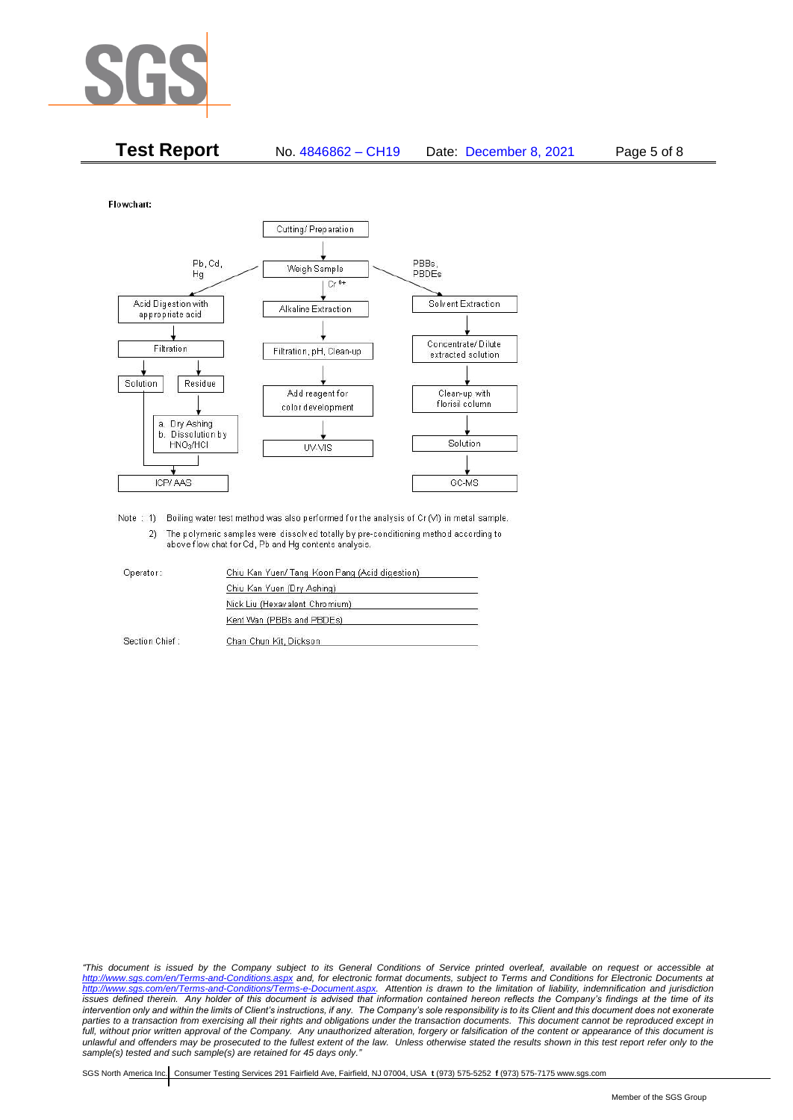

| <b>Test Report</b> | No. 4846862 - CH19 | Date: December 8, 2021 | Page 5 of 8 |
|--------------------|--------------------|------------------------|-------------|
|--------------------|--------------------|------------------------|-------------|

Flowchart:



Note : 1) Boiling water test method was also performed for the analysis of Cr (VI) in metal sample. 2) The polymeric samples were dissolved totally by pre-conditioning method according to above flow chat for Cd, Pb and Hg contents analysis

| Operator:      | Chiu Kan Yuen/ Tang Koon Pang (Acid digestion) |  |
|----------------|------------------------------------------------|--|
|                | Chiu Kan Yuen (Dry Ashing)                     |  |
|                | Nick Liu (Hexavalent Chromium)                 |  |
|                | Kent Wan (PBBs and PBDEs)                      |  |
| Section Chief: | Chan Chun Kit, Dickson                         |  |

*"This document is issued by the Company subject to its General Conditions of Service printed overleaf, available on request or accessible at <http://www.sgs.com/en/Terms-and-Conditions.aspx> and, for electronic format documents, subject to Terms and Conditions for Electronic Documents at [http://www.sgs.com/en/Terms-and-Conditions/Terms-e-Document.aspx.](http://www.sgs.com/en/Terms-and-Conditions/Terms-e-Document.aspx) Attention is drawn to the limitation of liability, indemnification and jurisdiction issues defined therein. Any holder of this document is advised that information contained hereon reflects the Company's findings at the time of its intervention only and within the limits of Client's instructions, if any. The Company's sole responsibility is to its Client and this document does not exonerate*  parties to a transaction from exercising all their rights and obligations under the transaction documents. This document cannot be reproduced except in *full, without prior written approval of the Company. Any unauthorized alteration, forgery or falsification of the content or appearance of this document is unlawful and offenders may be prosecuted to the fullest extent of the law. Unless otherwise stated the results shown in this test report refer only to the sample(s) tested and such sample(s) are retained for 45 days only."*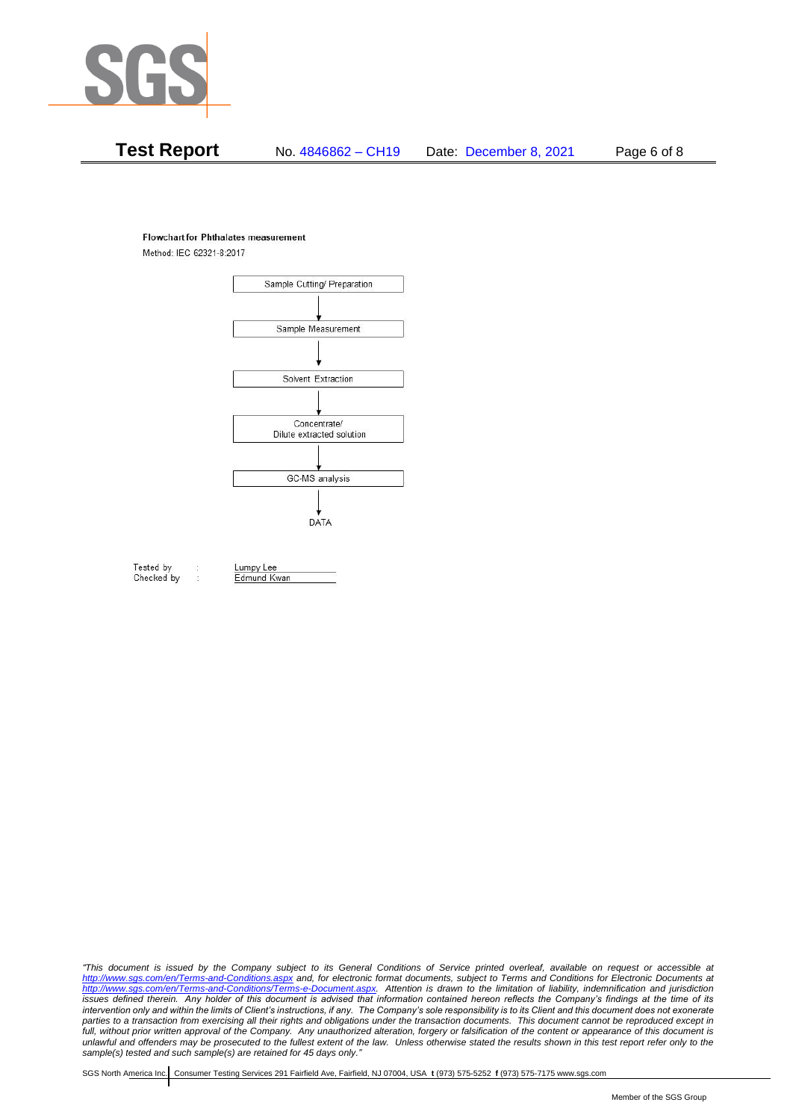

# **Test Report** No. 4846862 – CH19 Date: December 8, 2021 Page 6 of 8

#### **Flowchart for Phthalates measurement**

Method: IEC 62321-8:2017



Tested by Checked by Lumpy Lee

Edmund Kwan

*"This document is issued by the Company subject to its General Conditions of Service printed overleaf, available on request or accessible at <http://www.sgs.com/en/Terms-and-Conditions.aspx> and, for electronic format documents, subject to Terms and Conditions for Electronic Documents at [http://www.sgs.com/en/Terms-and-Conditions/Terms-e-Document.aspx.](http://www.sgs.com/en/Terms-and-Conditions/Terms-e-Document.aspx) Attention is drawn to the limitation of liability, indemnification and jurisdiction issues defined therein. Any holder of this document is advised that information contained hereon reflects the Company's findings at the time of its intervention only and within the limits of Client's instructions, if any. The Company's sole responsibility is to its Client and this document does not exonerate*  parties to a transaction from exercising all their rights and obligations under the transaction documents. This document cannot be reproduced except in *full, without prior written approval of the Company. Any unauthorized alteration, forgery or falsification of the content or appearance of this document is unlawful and offenders may be prosecuted to the fullest extent of the law. Unless otherwise stated the results shown in this test report refer only to the sample(s) tested and such sample(s) are retained for 45 days only."*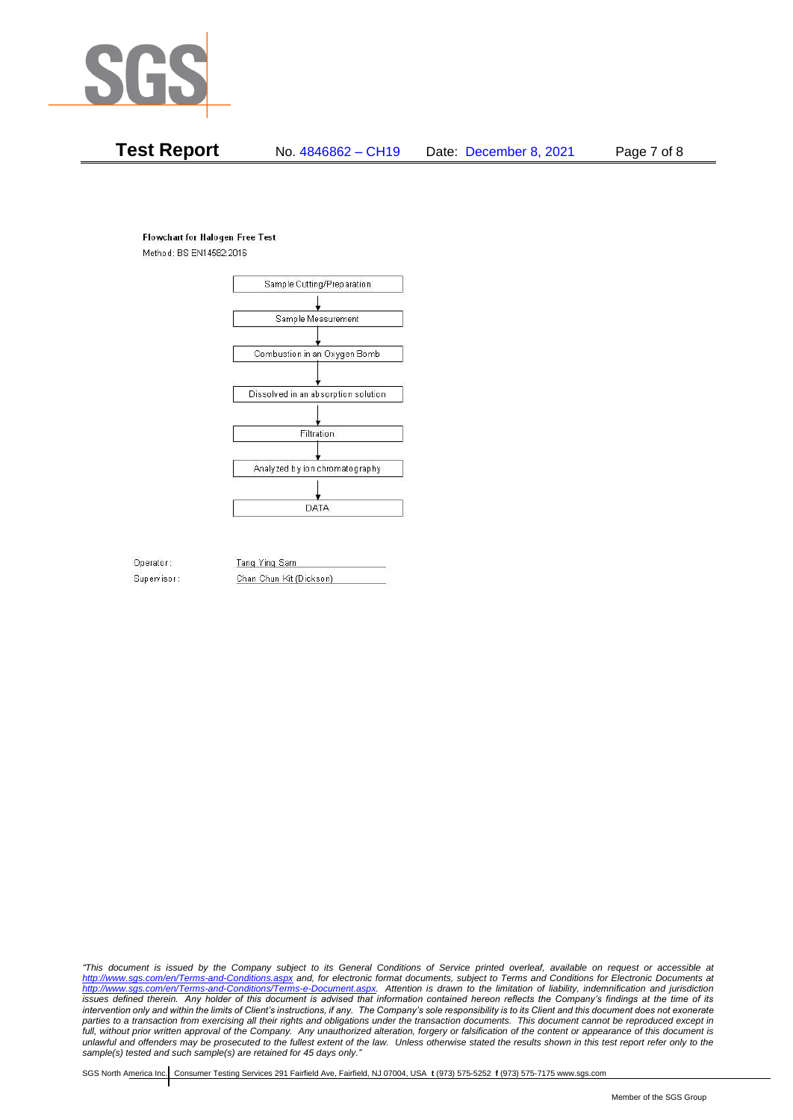

## **Test Report** No. 4846862 – CH19 Date: December 8, 2021 Page 7 of 8

#### **Flowchart for Halogen Free Test**

Method: BS EN14582:2016



Operator: Supervisor: Tang Ying Sam Chan Chun Kit (Dickson)

*"This document is issued by the Company subject to its General Conditions of Service printed overleaf, available on request or accessible at <http://www.sgs.com/en/Terms-and-Conditions.aspx> and, for electronic format documents, subject to Terms and Conditions for Electronic Documents at [http://www.sgs.com/en/Terms-and-Conditions/Terms-e-Document.aspx.](http://www.sgs.com/en/Terms-and-Conditions/Terms-e-Document.aspx) Attention is drawn to the limitation of liability, indemnification and jurisdiction issues defined therein. Any holder of this document is advised that information contained hereon reflects the Company's findings at the time of its intervention only and within the limits of Client's instructions, if any. The Company's sole responsibility is to its Client and this document does not exonerate*  parties to a transaction from exercising all their rights and obligations under the transaction documents. This document cannot be reproduced except in *full, without prior written approval of the Company. Any unauthorized alteration, forgery or falsification of the content or appearance of this document is unlawful and offenders may be prosecuted to the fullest extent of the law. Unless otherwise stated the results shown in this test report refer only to the sample(s) tested and such sample(s) are retained for 45 days only."*